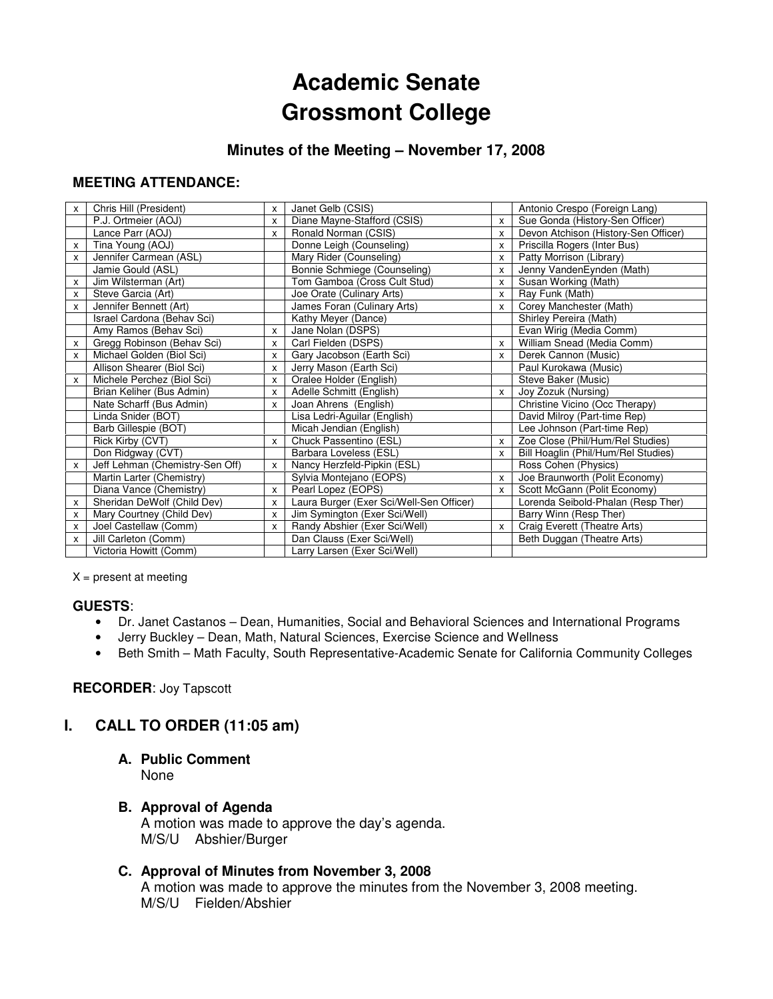# **Academic Senate Grossmont College**

## **Minutes of the Meeting – November 17, 2008**

#### **MEETING ATTENDANCE:**

| X | Chris Hill (President)          | X | Janet Gelb (CSIS)                        |              | Antonio Crespo (Foreign Lang)        |
|---|---------------------------------|---|------------------------------------------|--------------|--------------------------------------|
|   | P.J. Ortmeier (AOJ)             | X | Diane Mayne-Stafford (CSIS)              | x            | Sue Gonda (History-Sen Officer)      |
|   | Lance Parr (AOJ)                | X | Ronald Norman (CSIS)                     | X            | Devon Atchison (History-Sen Officer) |
| x | Tina Young (AOJ)                |   | Donne Leigh (Counseling)                 | X            | Priscilla Rogers (Inter Bus)         |
| X | Jennifer Carmean (ASL)          |   | Mary Rider (Counseling)                  | X            | Patty Morrison (Library)             |
|   | Jamie Gould (ASL)               |   | Bonnie Schmiege (Counseling)             | X            | Jenny VandenEynden (Math)            |
| x | Jim Wilsterman (Art)            |   | Tom Gamboa (Cross Cult Stud)             | x            | Susan Working (Math)                 |
| X | Steve Garcia (Art)              |   | Joe Orate (Culinary Arts)                | x            | Ray Funk (Math)                      |
| x | Jennifer Bennett (Art)          |   | James Foran (Culinary Arts)              | X            | Corey Manchester (Math)              |
|   | Israel Cardona (Behav Sci)      |   | Kathy Meyer (Dance)                      |              | Shirley Pereira (Math)               |
|   | Amy Ramos (Behav Sci)           | X | Jane Nolan (DSPS)                        |              | Evan Wirig (Media Comm)              |
| x | Gregg Robinson (Behav Sci)      | X | Carl Fielden (DSPS)                      | x            | William Snead (Media Comm)           |
| X | Michael Golden (Biol Sci)       | X | Gary Jacobson (Earth Sci)                | X            | Derek Cannon (Music)                 |
|   | Allison Shearer (Biol Sci)      | X | Jerry Mason (Earth Sci)                  |              | Paul Kurokawa (Music)                |
| x | Michele Perchez (Biol Sci)      | X | Oralee Holder (English)                  |              | Steve Baker (Music)                  |
|   | Brian Keliher (Bus Admin)       | X | Adelle Schmitt (English)                 | X            | Joy Zozuk (Nursing)                  |
|   | Nate Scharff (Bus Admin)        | X | Joan Ahrens (English)                    |              | Christine Vicino (Occ Therapy)       |
|   | Linda Snider (BOT)              |   | Lisa Ledri-Aguilar (English)             |              | David Milroy (Part-time Rep)         |
|   | Barb Gillespie (BOT)            |   | Micah Jendian (English)                  |              | Lee Johnson (Part-time Rep)          |
|   | Rick Kirby (CVT)                | X | Chuck Passentino (ESL)                   | x            | Zoe Close (Phil/Hum/Rel Studies)     |
|   | Don Ridgway (CVT)               |   | Barbara Loveless (ESL)                   | x            | Bill Hoaglin (Phil/Hum/Rel Studies)  |
| X | Jeff Lehman (Chemistry-Sen Off) | X | Nancy Herzfeld-Pipkin (ESL)              |              | Ross Cohen (Physics)                 |
|   | Martin Larter (Chemistry)       |   | Sylvia Montejano (EOPS)                  | x            | Joe Braunworth (Polit Economy)       |
|   | Diana Vance (Chemistry)         | X | Pearl Lopez (EOPS)                       | X            | Scott McGann (Polit Economy)         |
| x | Sheridan DeWolf (Child Dev)     | X | Laura Burger (Exer Sci/Well-Sen Officer) |              | Lorenda Seibold-Phalan (Resp Ther)   |
| X | Mary Courtney (Child Dev)       | X | Jim Symington (Exer Sci/Well)            |              | Barry Winn (Resp Ther)               |
| x | Joel Castellaw (Comm)           | X | Randy Abshier (Exer Sci/Well)            | $\mathsf{x}$ | Craig Everett (Theatre Arts)         |
| X | Jill Carleton (Comm)            |   | Dan Clauss (Exer Sci/Well)               |              | Beth Duggan (Theatre Arts)           |
|   | Victoria Howitt (Comm)          |   | Larry Larsen (Exer Sci/Well)             |              |                                      |
|   |                                 |   |                                          |              |                                      |

 $X =$  present at meeting

#### **GUESTS**:

- Dr. Janet Castanos Dean, Humanities, Social and Behavioral Sciences and International Programs
- Jerry Buckley Dean, Math, Natural Sciences, Exercise Science and Wellness
- Beth Smith Math Faculty, South Representative-Academic Senate for California Community Colleges

#### **RECORDER**: Joy Tapscott

#### **I. CALL TO ORDER (11:05 am)**

## **A. Public Comment**

None

#### **B. Approval of Agenda**

A motion was made to approve the day's agenda. M/S/U Abshier/Burger

#### **C. Approval of Minutes from November 3, 2008**

A motion was made to approve the minutes from the November 3, 2008 meeting. M/S/U Fielden/Abshier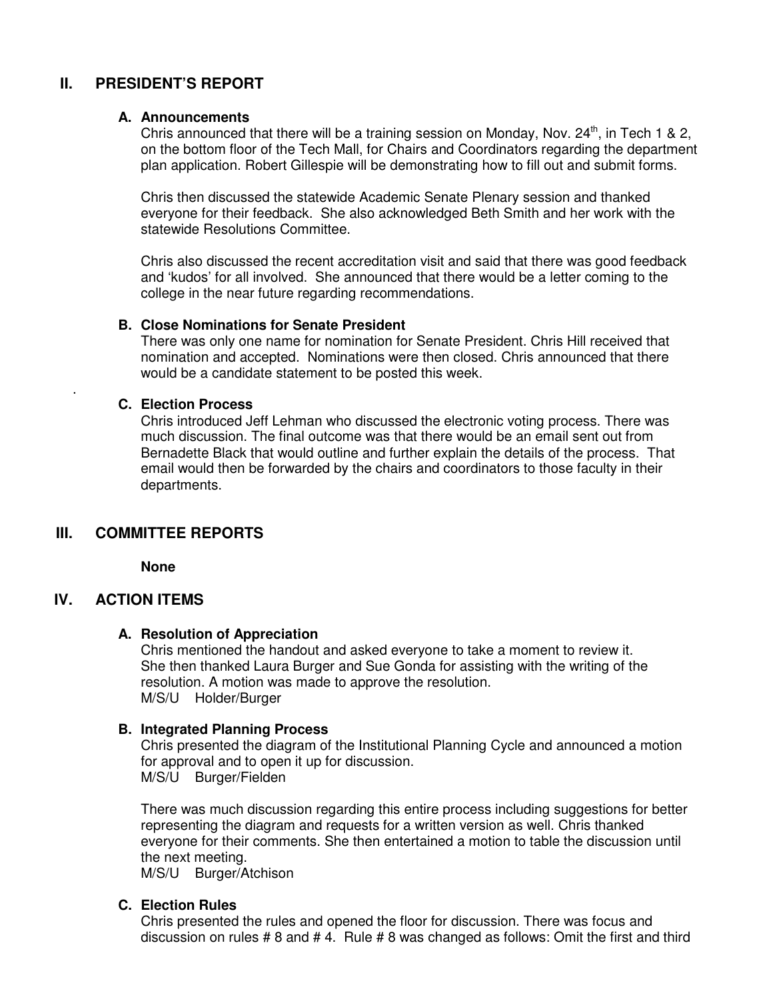## **II. PRESIDENT'S REPORT**

#### **A. Announcements**

Chris announced that there will be a training session on Monday, Nov.  $24<sup>th</sup>$ , in Tech 1 & 2, on the bottom floor of the Tech Mall, for Chairs and Coordinators regarding the department plan application. Robert Gillespie will be demonstrating how to fill out and submit forms.

Chris then discussed the statewide Academic Senate Plenary session and thanked everyone for their feedback. She also acknowledged Beth Smith and her work with the statewide Resolutions Committee.

Chris also discussed the recent accreditation visit and said that there was good feedback and 'kudos' for all involved. She announced that there would be a letter coming to the college in the near future regarding recommendations.

#### **B. Close Nominations for Senate President**

There was only one name for nomination for Senate President. Chris Hill received that nomination and accepted. Nominations were then closed. Chris announced that there would be a candidate statement to be posted this week.

#### **C. Election Process**

Chris introduced Jeff Lehman who discussed the electronic voting process. There was much discussion. The final outcome was that there would be an email sent out from Bernadette Black that would outline and further explain the details of the process. That email would then be forwarded by the chairs and coordinators to those faculty in their departments.

## **III. COMMITTEE REPORTS**

**None**

#### **IV. ACTION ITEMS**

.

#### **A. Resolution of Appreciation**

Chris mentioned the handout and asked everyone to take a moment to review it. She then thanked Laura Burger and Sue Gonda for assisting with the writing of the resolution. A motion was made to approve the resolution. M/S/U Holder/Burger

#### **B. Integrated Planning Process**

Chris presented the diagram of the Institutional Planning Cycle and announced a motion for approval and to open it up for discussion. M/S/U Burger/Fielden

There was much discussion regarding this entire process including suggestions for better representing the diagram and requests for a written version as well. Chris thanked everyone for their comments. She then entertained a motion to table the discussion until the next meeting.

M/S/U Burger/Atchison

#### **C. Election Rules**

Chris presented the rules and opened the floor for discussion. There was focus and discussion on rules # 8 and # 4. Rule # 8 was changed as follows: Omit the first and third